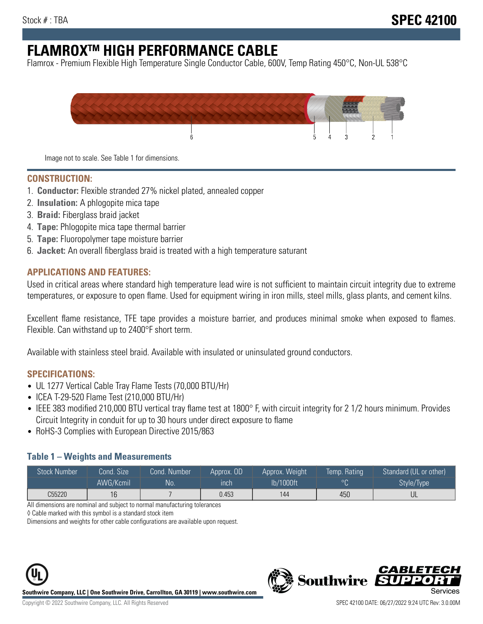# **FLAMROXTM HIGH PERFORMANCE CABLE**

Flamrox - Premium Flexible High Temperature Single Conductor Cable, 600V, Temp Rating 450°C, Non-UL 538°C



Image not to scale. See Table 1 for dimensions.

#### **CONSTRUCTION:**

- 1. **Conductor:** Flexible stranded 27% nickel plated, annealed copper
- 2. **Insulation:** A phlogopite mica tape
- 3. **Braid:** Fiberglass braid jacket
- 4. **Tape:** Phlogopite mica tape thermal barrier
- 5. **Tape:** Fluoropolymer tape moisture barrier
- 6. **Jacket:** An overall fiberglass braid is treated with a high temperature saturant

#### **APPLICATIONS AND FEATURES:**

Used in critical areas where standard high temperature lead wire is not sufficient to maintain circuit integrity due to extreme temperatures, or exposure to open flame. Used for equipment wiring in iron mills, steel mills, glass plants, and cement kilns.

Excellent flame resistance, TFE tape provides a moisture barrier, and produces minimal smoke when exposed to flames. Flexible. Can withstand up to 2400°F short term.

Available with stainless steel braid. Available with insulated or uninsulated ground conductors.

#### **SPECIFICATIONS:**

- UL 1277 Vertical Cable Tray Flame Tests (70,000 BTU/Hr)
- ICEA T-29-520 Flame Test (210,000 BTU/Hr)
- IEEE 383 modified 210,000 BTU vertical tray flame test at 1800° F, with circuit integrity for 2 1/2 hours minimum. Provides Circuit Integrity in conduit for up to 30 hours under direct exposure to flame
- RoHS-3 Complies with European Directive 2015/863

#### **Table 1 – Weights and Measurements**

| <b>Stock Number</b> | Cond. Size | Cond. Number | Approx. OD | Approx. Weight | Temp. Rating | Standard (UL or other)  |
|---------------------|------------|--------------|------------|----------------|--------------|-------------------------|
|                     | AWG/Kcmil  | <b>No</b>    | inch       | lb/1000ft      | $\circ$      | Style/Type <sup>1</sup> |
| C55220              | 16         |              | 0.453      | 144            | 450          | UL                      |

All dimensions are nominal and subject to normal manufacturing tolerances

◊ Cable marked with this symbol is a standard stock item

Dimensions and weights for other cable configurations are available upon request.